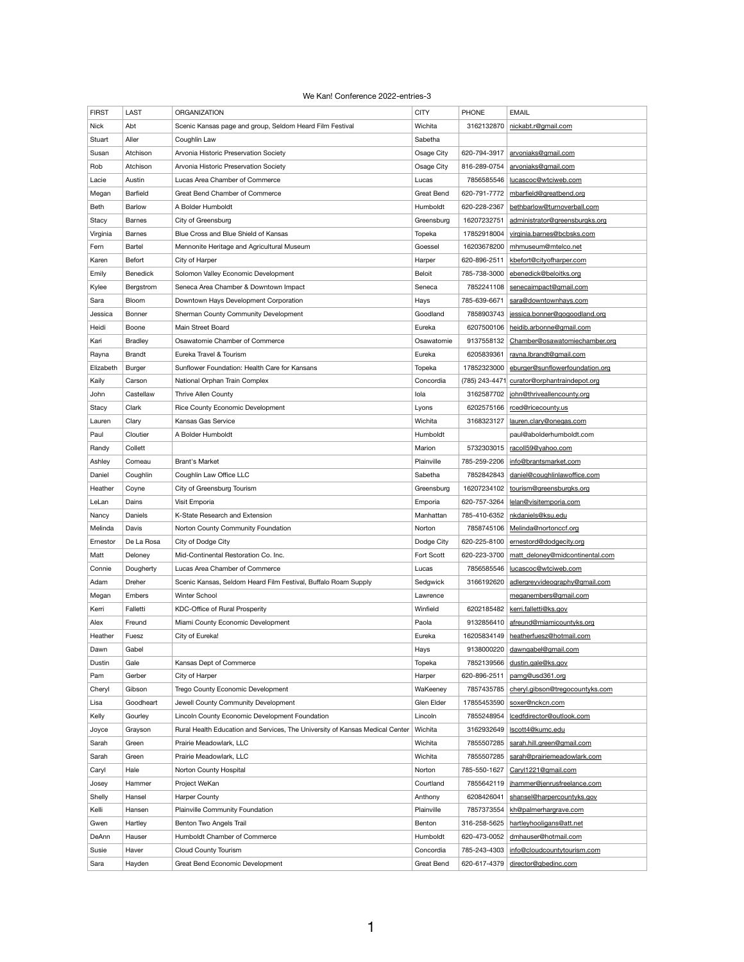## We Kan! Conference 2022-entries-3

| <b>FIRST</b> | <b>LAST</b>     | <b>ORGANIZATION</b>                                                          | <b>CITY</b>       | <b>PHONE</b> | <b>EMAIL</b>                                |
|--------------|-----------------|------------------------------------------------------------------------------|-------------------|--------------|---------------------------------------------|
| <b>Nick</b>  | Abt             | Scenic Kansas page and group, Seldom Heard Film Festival                     | Wichita           | 3162132870   | nickabt.r@gmail.com                         |
| Stuart       | Aller           | Coughlin Law                                                                 | Sabetha           |              |                                             |
| Susan        | Atchison        | Arvonia Historic Preservation Society                                        | Osage City        | 620-794-3917 | arvoniaks@gmail.com                         |
| Rob          | Atchison        | Arvonia Historic Preservation Society                                        | Osage City        | 816-289-0754 | arvoniaks@gmail.com                         |
| Lacie        | Austin          | Lucas Area Chamber of Commerce                                               | Lucas             | 7856585546   | lucascoc@wtciweb.com                        |
| Megan        | Barfield        | Great Bend Chamber of Commerce                                               | <b>Great Bend</b> | 620-791-7772 | mbarfield@greatbend.org                     |
| Beth         | <b>Barlow</b>   | A Bolder Humboldt                                                            | Humboldt          | 620-228-2367 | bethbarlow@turnoverball.com                 |
| Stacy        | <b>Barnes</b>   | City of Greensburg                                                           | Greensburg        | 16207232751  | administrator@greensburgks.org              |
| Virginia     | <b>Barnes</b>   | Blue Cross and Blue Shield of Kansas                                         | Topeka            | 17852918004  | virginia.barnes@bcbsks.com                  |
| Fern         | Bartel          | Mennonite Heritage and Agricultural Museum                                   | Goessel           | 16203678200  | mhmuseum@mtelco.net                         |
| Karen        | Befort          | City of Harper                                                               | Harper            | 620-896-2511 | kbefort@cityofharper.com                    |
| Emily        | <b>Benedick</b> | Solomon Valley Economic Development                                          | <b>Beloit</b>     | 785-738-3000 | ebenedick@beloitks.org                      |
| Kylee        | Bergstrom       | Seneca Area Chamber & Downtown Impact                                        | Seneca            | 7852241108   | senecaimpact@gmail.com                      |
| Sara         | Bloom           | Downtown Hays Development Corporation                                        | Hays              | 785-639-6671 | sara@downtownhays.com                       |
| Jessica      | <b>Bonner</b>   | Sherman County Community Development                                         | Goodland          | 7858903743   | jessica.bonner@gogoodland.org               |
| Heidi        | <b>Boone</b>    | Main Street Board                                                            | Eureka            | 6207500106   | heidib.arbonne@gmail.com                    |
| Kari         | <b>Bradley</b>  | Osawatomie Chamber of Commerce                                               | Osawatomie        | 9137558132   | Chamber@osawatomiechamber.org               |
| Rayna        | <b>Brandt</b>   | Eureka Travel & Tourism                                                      | Eureka            | 6205839361   | rayna.lbrandt@gmail.com                     |
| Elizabeth    | <b>Burger</b>   | Sunflower Foundation: Health Care for Kansans                                | Topeka            | 17852323000  | eburger@sunflowerfoundation.org             |
| Kaily        | Carson          | National Orphan Train Complex                                                | Concordia         |              | (785) 243-4471 curator@orphantraindepot.org |
| John         | Castellaw       | Thrive Allen County                                                          | lola              |              | 3162587702   john@thriveallencounty.org     |
| Stacy        | Clark           | <b>Rice County Economic Development</b>                                      | Lyons             |              | 6202575166   rced@ricecounty.us             |
| Lauren       | Clary           | Kansas Gas Service                                                           | Wichita           | 3168323127   | lauren.clary@onegas.com                     |
| Paul         | Cloutier        | A Bolder Humboldt                                                            | Humboldt          |              | paul@abolderhumboldt.com                    |
| Randy        | Collett         |                                                                              | Marion            | 5732303015   | racoll59@yahoo.com                          |
| Ashley       | Comeau          | <b>Brant's Market</b>                                                        | Plainville        | 785-259-2206 | info@brantsmarket.com                       |
| Daniel       | Coughlin        | Coughlin Law Office LLC                                                      | Sabetha           | 7852842843   | daniel@coughlinlawoffice.com                |
| Heather      | Coyne           | City of Greensburg Tourism                                                   | Greensburg        | 16207234102  | tourism@greensburgks.org                    |
| LeLan        | Dains           | Visit Emporia                                                                | Emporia           | 620-757-3264 | lelan@visitemporia.com                      |
| Nancy        | Daniels         | K-State Research and Extension                                               | Manhattan         | 785-410-6352 | nkdaniels@ksu.edu                           |
| Melinda      | Davis           | Norton County Community Foundation                                           | Norton            | 7858745106   | Melinda@nortonccf.org                       |
| Ernestor     | De La Rosa      | City of Dodge City                                                           | Dodge City        | 620-225-8100 | ernestord@dodgecity.org                     |
| Matt         | Deloney         | Mid-Continental Restoration Co. Inc.                                         | Fort Scott        | 620-223-3700 | matt deloney@midcontinental.com             |
| Connie       | Dougherty       | Lucas Area Chamber of Commerce                                               | Lucas             | 7856585546   | lucascoc@wtciweb.com                        |
| Adam         | Dreher          | Scenic Kansas, Seldom Heard Film Festival, Buffalo Roam Supply               | Sedgwick          | 3166192620   | adlergreyvideography@gmail.com              |
| Megan        | Embers          | Winter School                                                                | Lawrence          |              | meganembers@gmail.com                       |
| Kerri        | Falletti        | <b>KDC-Office of Rural Prosperity</b>                                        | Winfield          | 6202185482   | kerri.falletti@ks.gov                       |
| Alex         | Freund          | Miami County Economic Development                                            | Paola             | 9132856410   | afreund@miamicountyks.org                   |
| Heather      | Fuesz           | City of Eureka!                                                              | Eureka            | 16205834149  | heatherfuesz@hotmail.com                    |
| Dawn         | Gabel           |                                                                              | Hays              | 9138000220   | dawngabel@gmail.com                         |
| Dustin       | Gale            | Kansas Dept of Commerce                                                      | Topeka            | 7852139566   | dustin.gale@ks.gov                          |
| Pam          | Gerber          | City of Harper                                                               | Harper            | 620-896-2511 | pamg@usd361.org                             |
| Cheryl       | Gibson          | Trego County Economic Development                                            | WaKeeney          | 7857435785   | cheryl.gibson@tregocountyks.com             |
| Lisa         | Goodheart       | Jewell County Community Development                                          | Glen Elder        |              | 17855453590   soxer@nckcn.com               |
| Kelly        | Gourley         | Lincoln County Economic Development Foundation                               | Lincoln           | 7855248954   | lcedfdirector@outlook.com                   |
| Joyce        | Grayson         | Rural Health Education and Services, The University of Kansas Medical Center | Wichita           | 3162932649   | Iscott4@kumc.edu                            |
| Sarah        | Green           | Prairie Meadowlark, LLC                                                      | Wichita           | 7855507285   | sarah.hill.green@gmail.com                  |
| Sarah        | Green           | Prairie Meadowlark, LLC                                                      | Wichita           | 7855507285   | sarah@prairiemeadowlark.com                 |
| Caryl        | Hale            | Norton County Hospital                                                       | Norton            | 785-550-1627 | Caryl1221@gmail.com                         |
| Josey        | Hammer          | Project WeKan                                                                | Courtland         | 7855642119   | jhammer@jenrusfreelance.com                 |
| Shelly       | Hansel          | <b>Harper County</b>                                                         | Anthony           | 6208426041   | shansel@harpercountyks.gov                  |
| Kelli        | Hansen          | <b>Plainville Community Foundation</b>                                       | Plainville        | 7857373554   | kh@palmerhargrave.com                       |
| Gwen         | Hartley         | Benton Two Angels Trail                                                      | Benton            | 316-258-5625 | hartleyhooligans@att.net                    |
| DeAnn        | Hauser          | Humboldt Chamber of Commerce                                                 | Humboldt          | 620-473-0052 | dmhauser@hotmail.com                        |
| Susie        | Haver           | <b>Cloud County Tourism</b>                                                  | Concordia         | 785-243-4303 | info@cloudcountytourism.com                 |
| Sara         | Hayden          | Great Bend Economic Development                                              | <b>Great Bend</b> |              | 620-617-4379 director@gbedinc.com           |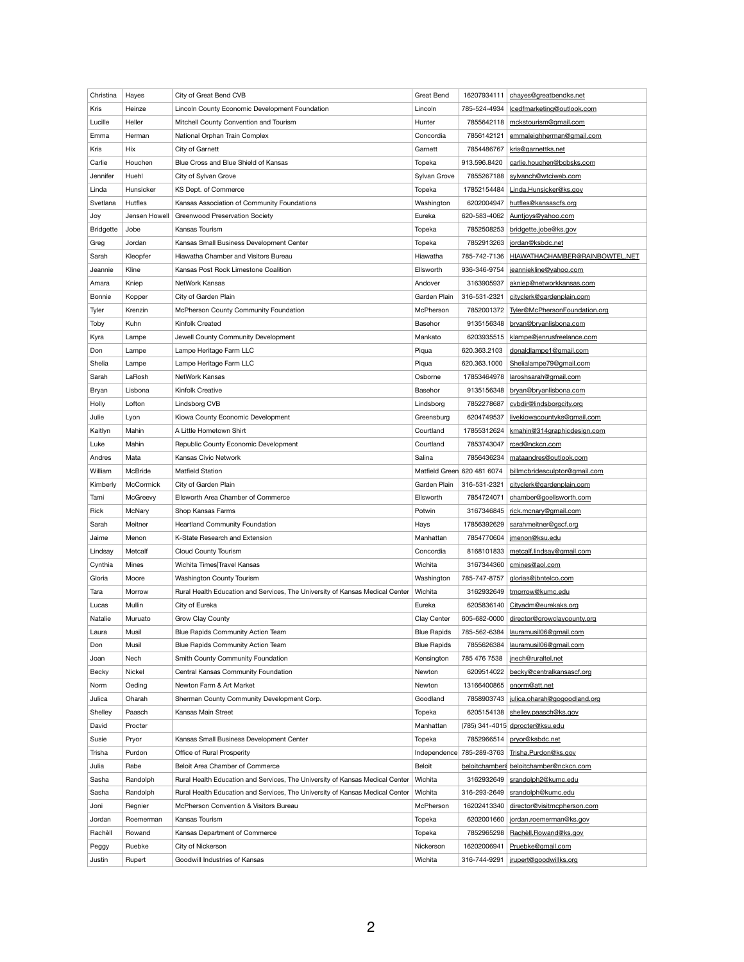| Christina        | Hayes          | City of Great Bend CVB                                                       | <b>Great Bend</b>  | 16207934111                 | chayes@greatbendks.net                    |
|------------------|----------------|------------------------------------------------------------------------------|--------------------|-----------------------------|-------------------------------------------|
| Kris             | Heinze         | Lincoln County Economic Development Foundation                               | Lincoln            | 785-524-4934                | lcedfmarketing@outlook.com                |
| Lucille          | Heller         | Mitchell County Convention and Tourism                                       | Hunter             | 7855642118                  | mckstourism@gmail.com                     |
|                  |                |                                                                              | Concordia          | 7856142121                  | emmaleighherman@gmail.com                 |
| Emma             | Herman         | National Orphan Train Complex                                                |                    |                             |                                           |
| <b>Kris</b>      | Hix            | City of Garnett                                                              | Garnett            | 7854486767                  | kris@garnettks.net                        |
| Carlie           | Houchen        | Blue Cross and Blue Shield of Kansas                                         | Topeka             | 913.596.8420                | carlie.houchen@bcbsks.com                 |
| Jennifer         | Huehl          | City of Sylvan Grove                                                         | Sylvan Grove       | 7855267188                  | sylvanch@wtciweb.com                      |
| Linda            | Hunsicker      | KS Dept. of Commerce                                                         | Topeka             |                             | 17852154484   Linda.Hunsicker@ks.gov      |
| Svetlana         | <b>Hutfles</b> | Kansas Association of Community Foundations                                  | Washington         | 6202004947                  | hutfles@kansascfs.org                     |
| Joy              | Jensen Howell  | <b>Greenwood Preservation Society</b>                                        | Eureka             | 620-583-4062                | Auntjoys@yahoo.com                        |
| <b>Bridgette</b> | Jobe           | Kansas Tourism                                                               | Topeka             | 7852508253                  | bridgette.jobe@ks.gov                     |
| Greg             | Jordan         | Kansas Small Business Development Center                                     | Topeka             | 7852913263                  | jordan@ksbdc.net                          |
| Sarah            | Kleopfer       | Hiawatha Chamber and Visitors Bureau                                         | Hiawatha           | 785-742-7136                | HIAWATHACHAMBER@RAINBOWTEL.NET            |
| Jeannie          | Kline          | Kansas Post Rock Limestone Coalition                                         | Ellsworth          | 936-346-9754                | jeanniekline@yahoo.com                    |
| Amara            | Kniep          | NetWork Kansas                                                               | Andover            | 3163905937                  | akniep@networkkansas.com                  |
| <b>Bonnie</b>    | Kopper         | City of Garden Plain                                                         | Garden Plain       | 316-531-2321                | cityclerk@gardenplain.com                 |
| Tyler            | Krenzin        | McPherson County Community Foundation                                        | McPherson          | 7852001372                  | Tyler@McPhersonFoundation.org             |
| Toby             | Kuhn           | Kinfolk Created                                                              | Basehor            | 9135156348                  | bryan@bryanlisbona.com                    |
| Kyra             | Lampe          | Jewell County Community Development                                          | Mankato            | 6203935515                  | klampe@jenrusfreelance.com                |
| Don              |                |                                                                              |                    | 620.363.2103                |                                           |
|                  | Lampe          | Lampe Heritage Farm LLC                                                      | Piqua              |                             | donaldlampe1@gmail.com                    |
| Shelia           | Lampe          | Lampe Heritage Farm LLC                                                      | Piqua              | 620.363.1000                | Shelialampe79@gmail.com                   |
| Sarah            | LaRosh         | NetWork Kansas                                                               | Osborne            | 17853464978                 | laroshsarah@gmail.com                     |
| Bryan            | Lisbona        | Kinfolk Creative                                                             | Basehor            |                             | 9135156348 bryan@bryanlisbona.com         |
| Holly            | Lofton         | Lindsborg CVB                                                                | Lindsborg          | 7852278687                  | cvbdir@lindsborgcity.org                  |
| Julie            | Lyon           | Kiowa County Economic Development                                            | Greensburg         | 6204749537                  | livekiowacountyks@gmail.com               |
| Kaitlyn          | Mahin          | A Little Hometown Shirt                                                      | Courtland          | 17855312624                 | kmahin@314graphicdesign.com               |
| Luke             | Mahin          | Republic County Economic Development                                         | Courtland          | 7853743047                  | rced@nckcn.com                            |
| Andres           | Mata           | Kansas Civic Network                                                         | Salina             | 7856436234                  | mataandres@outlook.com                    |
| William          | McBride        | <b>Matfield Station</b>                                                      |                    | Matfield Green 620 481 6074 | billmcbridesculptor@gmail.com             |
| Kimberly         | McCormick      | City of Garden Plain                                                         | Garden Plain       | 316-531-2321                | cityclerk@gardenplain.com                 |
| Tami             | McGreevy       | Ellsworth Area Chamber of Commerce                                           | Ellsworth          | 7854724071                  | chamber@goellsworth.com                   |
| Rick             | McNary         | Shop Kansas Farms                                                            | Potwin             | 3167346845                  | rick.mcnary@gmail.com                     |
| Sarah            | Meitner        | <b>Heartland Community Foundation</b>                                        | Hays               | 17856392629                 | sarahmeitner@gscf.org                     |
| Jaime            | Menon          | K-State Research and Extension                                               | Manhattan          | 7854770604                  | jmenon@ksu.edu                            |
| Lindsay          | Metcalf        | <b>Cloud County Tourism</b>                                                  | Concordia          | 8168101833                  | metcalf.lindsay@gmail.com                 |
| Cynthia          | <b>Mines</b>   | Wichita Times Travel Kansas                                                  | Wichita            | 3167344360                  | cmines@aol.com                            |
|                  |                |                                                                              |                    |                             |                                           |
| Gloria           | Moore          | Washington County Tourism                                                    | Washington         | 785-747-8757                | glorias@jbntelco.com                      |
| Tara             | Morrow         | Rural Health Education and Services, The University of Kansas Medical Center | Wichita            | 3162932649                  | tmorrow@kumc.edu                          |
| Lucas            | Mullin         | City of Eureka                                                               | Eureka             | 6205836140                  | Cityadm@eurekaks.org                      |
| Natalie          | Muruato        | Grow Clay County                                                             | Clay Center        | 605-682-0000                | director@growclaycounty.org               |
| Laura            | Musil          | Blue Rapids Community Action Team                                            | <b>Blue Rapids</b> | 785-562-6384                | lauramusil06@gmail.com                    |
| Don              | Musil          | Blue Rapids Community Action Team                                            | <b>Blue Rapids</b> | 7855626384                  | lauramusil06@gmail.com                    |
| Joan             | Nech           | Smith County Community Foundation                                            | Kensington         | 785 476 7538                | jnech@ruraltel.net                        |
| Becky            | Nickel         | Central Kansas Community Foundation                                          | Newton             | 6209514022                  | becky@centralkansascf.org                 |
| Norm             | Oeding         | Newton Farm & Art Market                                                     | Newton             |                             | 13166400865   onorm@att.net               |
| Julica           | Oharah         | Sherman County Community Development Corp.                                   | Goodland           |                             | 7858903743   julica.oharah@gogoodland.org |
| Shelley          | Paasch         | Kansas Main Street                                                           | Topeka             |                             | 6205154138 shelley.paasch@ks.gov          |
| David            | Procter        |                                                                              | Manhattan          |                             | (785) 341-4015 dprocter@ksu.edu           |
| Susie            | Pryor          | Kansas Small Business Development Center                                     | Topeka             |                             | 7852966514 pryor@ksbdc.net                |
| Trisha           | Purdon         | <b>Office of Rural Prosperity</b>                                            |                    | Independence 785-289-3763   | Trisha.Purdon@ks.gov                      |
| Julia            | Rabe           | Beloit Area Chamber of Commerce                                              | Beloit             |                             | beloitchamber@beloitchamber@nckcn.com     |
| Sasha            | Randolph       | Rural Health Education and Services, The University of Kansas Medical Center | Wichita            |                             | 3162932649   srandolph2@kumc.edu          |
| Sasha            | Randolph       | Rural Health Education and Services, The University of Kansas Medical Center | Wichita            | 316-293-2649                | srandolph@kumc.edu                        |
|                  |                | McPherson Convention & Visitors Bureau                                       | McPherson          |                             | director@visitmcpherson.com               |
| Joni             | Regnier        |                                                                              |                    | 16202413340                 |                                           |
| Jordan           | Roemerman      | Kansas Tourism                                                               | Topeka             |                             | 6202001660   jordan.roemerman@ks.gov      |
| Rachèll          | Rowand         | Kansas Department of Commerce                                                | Topeka             | 7852965298                  | Rachèll.Rowand@ks.gov                     |
| Peggy            | Ruebke         | City of Nickerson                                                            | Nickerson          | 16202006941                 | Pruebke@gmail.com                         |
| Justin           | Rupert         | Goodwill Industries of Kansas                                                | Wichita            |                             | 316-744-9291   jrupert@goodwillks.org     |